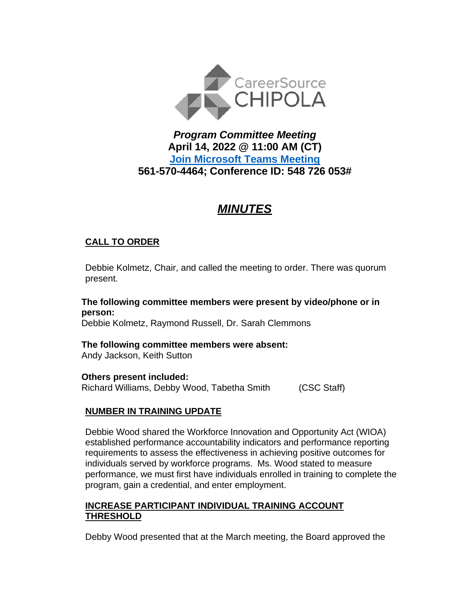

# *Program Committee Meeting* **April 14, 2022 @ 11:00 AM (CT) [Join Microsoft Teams Meeting](https://teams.microsoft.com/l/meetup-join/19%3ameeting_ZmE0ZTFhZWUtZTNjZC00ZWEwLWI3OGItMzU2N2MyODgyZjky%40thread.v2/0?context=%7b%22Tid%22%3a%22381e462d-382b-4f05-b17c-e11350250b4b%22%2c%22Oid%22%3a%22ece6f519-14be-447e-9926-70a0c0b015a7%22%7d) 561-570-4464; Conference ID: 548 726 053#**

# *MINUTES*

# **CALL TO ORDER**

Debbie Kolmetz, Chair, and called the meeting to order. There was quorum present.

**The following committee members were present by video/phone or in person:** Debbie Kolmetz, Raymond Russell, Dr. Sarah Clemmons

**The following committee members were absent:**

Andy Jackson, Keith Sutton

#### **Others present included:**

Richard Williams, Debby Wood, Tabetha Smith (CSC Staff)

# **NUMBER IN TRAINING UPDATE**

Debbie Wood shared the Workforce Innovation and Opportunity Act (WIOA) established performance accountability indicators and performance reporting requirements to assess the effectiveness in achieving positive outcomes for individuals served by workforce programs. Ms. Wood stated to measure performance, we must first have individuals enrolled in training to complete the program, gain a credential, and enter employment.

#### **INCREASE PARTICIPANT INDIVIDUAL TRAINING ACCOUNT THRESHOLD**

Debby Wood presented that at the March meeting, the Board approved the